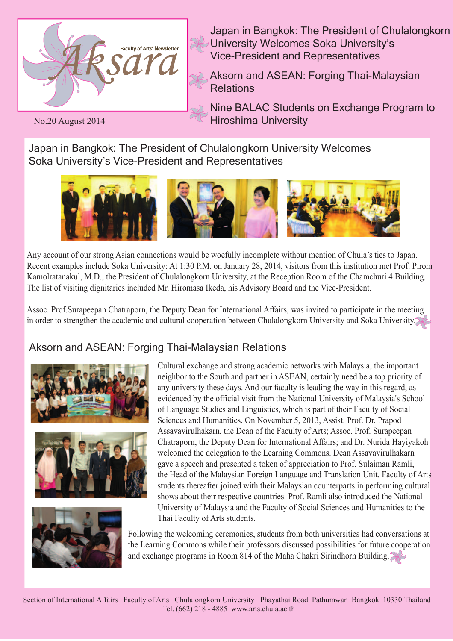

Japan in Bangkok: The President of Chulalongkorn University Welcomes Soka University's Vice-President and Representatives

Aksorn and ASEAN: Forging Thai-Malaysian Relations

Nine BALAC Students on Exchange Program to Hiroshima University

No.20 August 2014

Japan in Bangkok: The President of Chulalongkorn University Welcomes Soka University's Vice-President and Representatives



Any account of our strong Asian connections would be woefully incomplete without mention of Chula's ties to Japan. Recent examples include Soka University: At 1:30 P.M. on January 28, 2014, visitors from this institution met Prof. Pirom Kamolratanakul, M.D., the President of Chulalongkorn University, at the Reception Room of the Chamchuri 4 Building. The list of visiting dignitaries included Mr. Hiromasa Ikeda, his Advisory Board and the Vice-President.

Assoc. Prof.Surapeepan Chatraporn, the Deputy Dean for International Affairs, was invited to participate in the meeting in order to strengthen the academic and cultural cooperation between Chulalongkorn University and Soka University.

# Aksorn and ASEAN: Forging Thai-Malaysian Relations







Cultural exchange and strong academic networks with Malaysia, the important neighbor to the South and partner in ASEAN, certainly need be a top priority of any university these days. And our faculty is leading the way in this regard, as evidenced by the official visit from the National University of Malaysia's School of Language Studies and Linguistics, which is part of their Faculty of Social Sciences and Humanities. On November 5, 2013, Assist. Prof. Dr. Prapod Assavavirulhakarn, the Dean of the Faculty of Arts; Assoc. Prof. Surapeepan Chatraporn, the Deputy Dean for International Affairs; and Dr. Nurida Hayiyakoh welcomed the delegation to the Learning Commons. Dean Assavavirulhakarn gave a speech and presented a token of appreciation to Prof. Sulaiman Ramli, the Head of the Malaysian Foreign Language and Translation Unit. Faculty of Arts students thereafter joined with their Malaysian counterparts in performing cultural shows about their respective countries. Prof. Ramli also introduced the National University of Malaysia and the Faculty of Social Sciences and Humanities to the Thai Faculty of Arts students.

Following the welcoming ceremonies, students from both universities had conversations at the Learning Commons while their professors discussed possibilities for future cooperation and exchange programs in Room 814 of the Maha Chakri Sirindhorn Building.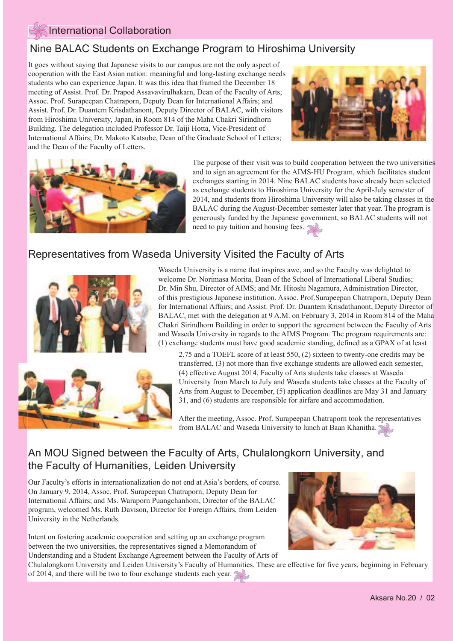#### International Collaboration

### Nine BALAC Students on Exchange Program to Hiroshima University

It goes without saying that Japanese visits to our campus are not the only aspect of cooperation with the East Asian nation: meaningful and long-lasting exchange needs students who can experience Japan. It was this idea that framed the December 18 meeting of Assist. Prof. Dr. Prapod Assavavirulhakarn, Dean of the Faculty of Arts; Assoc. Prof. Surapeepan Chatraporn, Deputy Dean for International Affairs; and Assist. Prof. Dr. Duantem Krisdathanont, Deputy Director of BALAC, with visitors from Hiroshima University, Japan, in Room 814 of the Maha Chakri Sirindhorn Building. The delegation included Professor Dr. Taiji Hotta, Vice-President of International Affairs; Dr. Makoto Katsube, Dean of the Graduate School of Letters; and the Dean of the Faculty of Letters.





The purpose of their visit was to build cooperation between the two universities and to sign an agreement for the AIMS-HU Program, which facilitates student exchanges starting in 2014. Nine BALAC students have already been selected as exchange students to Hiroshima University for the April-July semester of 2014, and students from Hiroshima University will also be taking classes in the BALAC during the August-December semester later that year. The program is generously funded by the Japanese government, so BALAC students will not need to pay tuition and housing fees.

#### Representatives from Waseda University Visited the Faculty of Arts



Waseda University is a name that inspires awe, and so the Faculty was delighted to welcome Dr. Norimasa Morita, Dean of the School of International Liberal Studies; Dr. Min Shu, Director of AIMS; and Mr. Hitoshi Nagamura, Administration Director, of this prestigious Japanese institution. Assoc. Prof.Surapeepan Chatraporn, Deputy Dean for International Affairs; and Assist. Prof. Dr. Duantem Krisdathanont, Deputy Director of BALAC, met with the delegation at 9 A.M. on February 3, 2014 in Room 814 of the Maha Chakri Sirindhorn Building in order to support the agreement between the Faculty of Arts and Waseda University in regards to the AIMS Program. The program requirements are: (1) exchange students must have good academic standing, defined as a GPAX of at least

2.75 and a TOEFL score of at least 550, (2) sixteen to twenty-one credits may be transferred, (3) not more than five exchange students are allowed each semester, (4) effective August 2014, Faculty of Arts students take classes at Waseda University from March to July and Waseda students take classes at the Faculty of Arts from August to December, (5) application deadlines are May 31 and January 31, and (6) students are responsible for airfare and accommodation.

After the meeting, Assoc. Prof. Surapeepan Chatraporn took the representatives from BALAC and Waseda University to lunch at Baan Khanitha.

## An MOU Signed between the Faculty of Arts, Chulalongkorn University, and the Faculty of Humanities, Leiden University

Our Faculty's efforts in internationalization do not end at Asia's borders, of course. On January 9, 2014, Assoc. Prof. Surapeepan Chatraporn, Deputy Dean for International Affairs; and Ms. Waraporn Puangchanhom, Director of the BALAC program, welcomed Ms. Ruth Davison, Director for Foreign Affairs, from Leiden University in the Netherlands.

Intent on fostering academic cooperation and setting up an exchange program between the two universities, the representatives signed a Memorandum of Understanding and a Student Exchange Agreement between the Faculty of Arts of



 of 2014, and there will be two to four exchange students each year.Chulalongkorn University and Leiden University's Faculty of Humanities. These are effective for five years, beginning in February